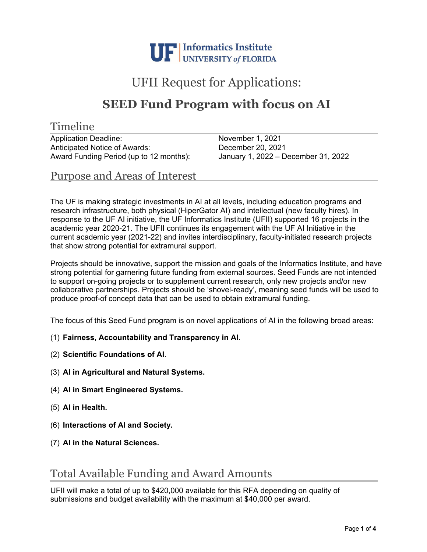

# UFII Request for Applications:

## **SEED Fund Program with focus on AI**

#### Timeline

Application Deadline: November 1, 2021 Anticipated Notice of Awards: December 20, 2021 Award Funding Period (up to 12 months): January 1, 2022 – December 31, 2022

Purpose and Areas of Interest

The UF is making strategic investments in AI at all levels, including education programs and research infrastructure, both physical (HiperGator AI) and intellectual (new faculty hires). In response to the UF AI initiative, the UF Informatics Institute (UFII) supported 16 projects in the academic year 2020-21. The UFII continues its engagement with the UF AI Initiative in the current academic year (2021-22) and invites interdisciplinary, faculty-initiated research projects that show strong potential for extramural support.

Projects should be innovative, support the mission and goals of the Informatics Institute, and have strong potential for garnering future funding from external sources. Seed Funds are not intended to support on-going projects or to supplement current research, only new projects and/or new collaborative partnerships. Projects should be 'shovel-ready', meaning seed funds will be used to produce proof-of concept data that can be used to obtain extramural funding.

The focus of this Seed Fund program is on novel applications of AI in the following broad areas:

- (1) **Fairness, Accountability and Transparency in AI**.
- (2) **Scientific Foundations of AI**.
- (3) **AI in Agricultural and Natural Systems.**
- (4) **AI in Smart Engineered Systems.**
- (5) **AI in Health.**
- (6) **Interactions of AI and Society.**
- (7) **AI in the Natural Sciences.**

### Total Available Funding and Award Amounts

UFII will make a total of up to \$420,000 available for this RFA depending on quality of submissions and budget availability with the maximum at \$40,000 per award.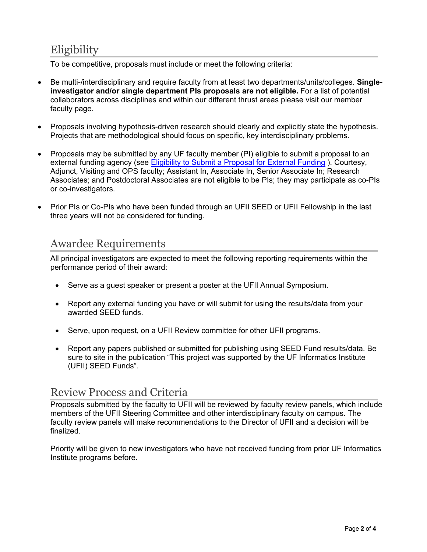## **Eligibility**

To be competitive, proposals must include or meet the following criteria:

- Be multi-/interdisciplinary and require faculty from at least two departments/units/colleges. **Singleinvestigator and/or single department PIs proposals are not eligible.** For a list of potential collaborators across disciplines and within our different thrust areas please visit our member faculty page.
- Proposals involving hypothesis-driven research should clearly and explicitly state the hypothesis. Projects that are methodological should focus on specific, key interdisciplinary problems.
- Proposals may be submitted by any UF faculty member (PI) eligible to submit a proposal to an external funding agency (see Eligibility to Submit a Proposal for External Funding ). Courtesy, Adjunct, Visiting and OPS faculty; Assistant In, Associate In, Senior Associate In; Research Associates; and Postdoctoral Associates are not eligible to be PIs; they may participate as co-PIs or co-investigators.
- Prior PIs or Co-PIs who have been funded through an UFII SEED or UFII Fellowship in the last three years will not be considered for funding.

### Awardee Requirements

All principal investigators are expected to meet the following reporting requirements within the performance period of their award:

- Serve as a quest speaker or present a poster at the UFII Annual Symposium.
- Report any external funding you have or will submit for using the results/data from your awarded SEED funds.
- Serve, upon request, on a UFII Review committee for other UFII programs.
- Report any papers published or submitted for publishing using SEED Fund results/data. Be sure to site in the publication "This project was supported by the UF Informatics Institute (UFII) SEED Funds".

#### Review Process and Criteria

Proposals submitted by the faculty to UFII will be reviewed by faculty review panels, which include members of the UFII Steering Committee and other interdisciplinary faculty on campus. The faculty review panels will make recommendations to the Director of UFII and a decision will be finalized.

Priority will be given to new investigators who have not received funding from prior UF Informatics Institute programs before.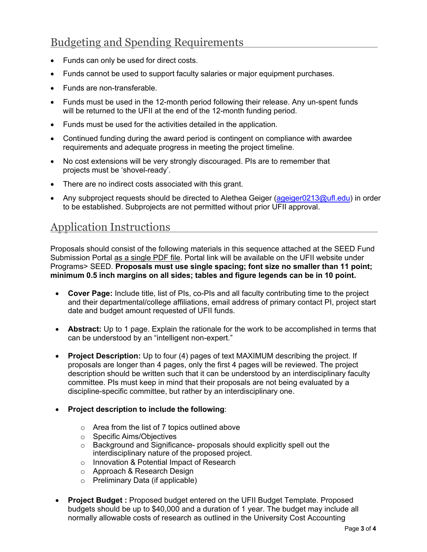## Budgeting and Spending Requirements

- Funds can only be used for direct costs.
- Funds cannot be used to support faculty salaries or major equipment purchases.
- Funds are non-transferable.
- Funds must be used in the 12-month period following their release. Any un-spent funds will be returned to the UFII at the end of the 12-month funding period.
- Funds must be used for the activities detailed in the application.
- Continued funding during the award period is contingent on compliance with awardee requirements and adequate progress in meeting the project timeline.
- No cost extensions will be very strongly discouraged. PIs are to remember that projects must be 'shovel-ready'.
- There are no indirect costs associated with this grant.
- Any subproject requests should be directed to Alethea Geiger (ageiger0213@ufl.edu) in order to be established. Subprojects are not permitted without prior UFII approval.

### Application Instructions

Proposals should consist of the following materials in this sequence attached at the SEED Fund Submission Portal as a single PDF file. Portal link will be available on the UFII website under Programs> SEED. **Proposals must use single spacing; font size no smaller than 11 point; minimum 0.5 inch margins on all sides; tables and figure legends can be in 10 point.** 

- **Cover Page:** Include title, list of PIs, co-PIs and all faculty contributing time to the project and their departmental/college affiliations, email address of primary contact PI, project start date and budget amount requested of UFII funds.
- **Abstract:** Up to 1 page. Explain the rationale for the work to be accomplished in terms that can be understood by an "intelligent non-expert."
- **Project Description:** Up to four (4) pages of text MAXIMUM describing the project. If proposals are longer than 4 pages, only the first 4 pages will be reviewed. The project description should be written such that it can be understood by an interdisciplinary faculty committee. PIs must keep in mind that their proposals are not being evaluated by a discipline-specific committee, but rather by an interdisciplinary one.
- **Project description to include the following**:
	- o Area from the list of 7 topics outlined above
	- o Specific Aims/Objectives
	- o Background and Significance- proposals should explicitly spell out the interdisciplinary nature of the proposed project.
	- o Innovation & Potential Impact of Research
	- o Approach & Research Design
	- o Preliminary Data (if applicable)
- **Project Budget :** Proposed budget entered on the UFII Budget Template. Proposed budgets should be up to \$40,000 and a duration of 1 year. The budget may include all normally allowable costs of research as outlined in the University Cost Accounting